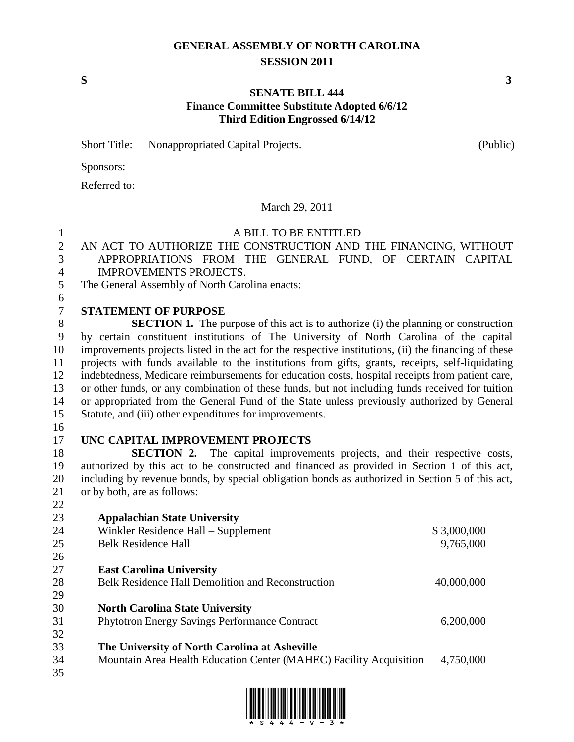# **GENERAL ASSEMBLY OF NORTH CAROLINA SESSION 2011**

### **SENATE BILL 444 Finance Committee Substitute Adopted 6/6/12 Third Edition Engrossed 6/14/12**

Short Title: Nonappropriated Capital Projects. (Public)

Sponsors:

Referred to:

#### March 29, 2011

### A BILL TO BE ENTITLED AN ACT TO AUTHORIZE THE CONSTRUCTION AND THE FINANCING, WITHOUT APPROPRIATIONS FROM THE GENERAL FUND, OF CERTAIN CAPITAL IMPROVEMENTS PROJECTS. The General Assembly of North Carolina enacts: **STATEMENT OF PURPOSE SECTION 1.** The purpose of this act is to authorize (i) the planning or construction by certain constituent institutions of The University of North Carolina of the capital improvements projects listed in the act for the respective institutions, (ii) the financing of these projects with funds available to the institutions from gifts, grants, receipts, self-liquidating indebtedness, Medicare reimbursements for education costs, hospital receipts from patient care, or other funds, or any combination of these funds, but not including funds received for tuition or appropriated from the General Fund of the State unless previously authorized by General Statute, and (iii) other expenditures for improvements. **UNC CAPITAL IMPROVEMENT PROJECTS SECTION 2.** The capital improvements projects, and their respective costs, authorized by this act to be constructed and financed as provided in Section 1 of this act, including by revenue bonds, by special obligation bonds as authorized in Section 5 of this act, or by both, are as follows: **Appalachian State University** 24 Winkler Residence Hall – Supplement \$ 3,000,000 Belk Residence Hall 9,765,000 **East Carolina University** 28 Belk Residence Hall Demolition and Reconstruction 40,000,000 **North Carolina State University** Phytotron Energy Savings Performance Contract 6,200,000 **The University of North Carolina at Asheville**

<u>. In the the state and the their and the state the their </u>

Mountain Area Health Education Center (MAHEC) Facility Acquisition 4,750,000

**S 3**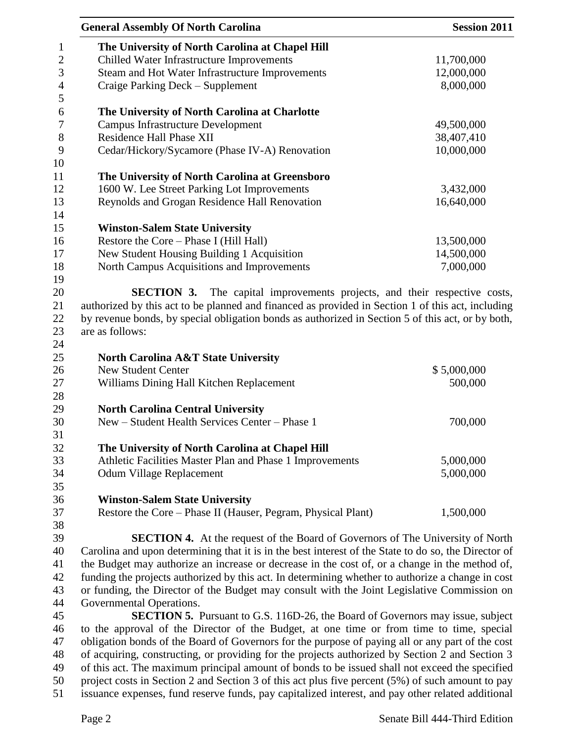|                  | <b>General Assembly Of North Carolina</b>                                                            | <b>Session 2011</b> |  |
|------------------|------------------------------------------------------------------------------------------------------|---------------------|--|
| $\mathbf{1}$     | The University of North Carolina at Chapel Hill                                                      |                     |  |
| $\mathbf{2}$     | Chilled Water Infrastructure Improvements                                                            | 11,700,000          |  |
| $\mathfrak{Z}$   | Steam and Hot Water Infrastructure Improvements                                                      | 12,000,000          |  |
| $\overline{4}$   | Craige Parking Deck - Supplement                                                                     | 8,000,000           |  |
| 5                |                                                                                                      |                     |  |
| 6                | The University of North Carolina at Charlotte                                                        |                     |  |
| $\boldsymbol{7}$ | <b>Campus Infrastructure Development</b>                                                             | 49,500,000          |  |
| $8\,$            | <b>Residence Hall Phase XII</b>                                                                      | 38,407,410          |  |
| 9                | Cedar/Hickory/Sycamore (Phase IV-A) Renovation                                                       | 10,000,000          |  |
| 10<br>11         | The University of North Carolina at Greensboro                                                       |                     |  |
| 12               | 1600 W. Lee Street Parking Lot Improvements                                                          | 3,432,000           |  |
| 13               | Reynolds and Grogan Residence Hall Renovation                                                        | 16,640,000          |  |
| 14               |                                                                                                      |                     |  |
| 15               | <b>Winston-Salem State University</b>                                                                |                     |  |
| 16               | Restore the Core - Phase I (Hill Hall)                                                               | 13,500,000          |  |
| 17               | New Student Housing Building 1 Acquisition                                                           | 14,500,000          |  |
| 18               | North Campus Acquisitions and Improvements                                                           | 7,000,000           |  |
| 19               |                                                                                                      |                     |  |
| 20               | The capital improvements projects, and their respective costs,<br><b>SECTION 3.</b>                  |                     |  |
| 21               | authorized by this act to be planned and financed as provided in Section 1 of this act, including    |                     |  |
| 22               | by revenue bonds, by special obligation bonds as authorized in Section 5 of this act, or by both,    |                     |  |
| 23               | are as follows:                                                                                      |                     |  |
| 24               |                                                                                                      |                     |  |
| 25               | <b>North Carolina A&amp;T State University</b>                                                       |                     |  |
| 26               | <b>New Student Center</b>                                                                            | \$5,000,000         |  |
| 27               | Williams Dining Hall Kitchen Replacement                                                             | 500,000             |  |
| 28               |                                                                                                      |                     |  |
| 29               | <b>North Carolina Central University</b>                                                             |                     |  |
| 30               | New - Student Health Services Center - Phase 1                                                       | 700,000             |  |
| 31               |                                                                                                      |                     |  |
| 32               | The University of North Carolina at Chapel Hill                                                      |                     |  |
| 33               | Athletic Facilities Master Plan and Phase 1 Improvements                                             | 5,000,000           |  |
| 34               | Odum Village Replacement                                                                             | 5,000,000           |  |
| 35               |                                                                                                      |                     |  |
| 36               | <b>Winston-Salem State University</b>                                                                |                     |  |
| 37               | Restore the Core – Phase II (Hauser, Pegram, Physical Plant)                                         | 1,500,000           |  |
| 38               |                                                                                                      |                     |  |
| 39               | <b>SECTION 4.</b> At the request of the Board of Governors of The University of North                |                     |  |
| 40               | Carolina and upon determining that it is in the best interest of the State to do so, the Director of |                     |  |
| 41               | the Budget may authorize an increase or decrease in the cost of, or a change in the method of,       |                     |  |
| 42               | funding the projects authorized by this act. In determining whether to authorize a change in cost    |                     |  |
| 43               | or funding, the Director of the Budget may consult with the Joint Legislative Commission on          |                     |  |
| 44               | Governmental Operations.                                                                             |                     |  |
| 45               | <b>SECTION 5.</b> Pursuant to G.S. 116D-26, the Board of Governors may issue, subject                |                     |  |
| 46               | to the approval of the Director of the Budget, at one time or from time to time, special             |                     |  |
| 47               | obligation bonds of the Board of Governors for the purpose of paying all or any part of the cost     |                     |  |
| 48               | of acquiring, constructing, or providing for the projects authorized by Section 2 and Section 3      |                     |  |
| 49               | of this act. The maximum principal amount of bonds to be issued shall not exceed the specified       |                     |  |
| 50               | project costs in Section 2 and Section 3 of this act plus five percent (5%) of such amount to pay    |                     |  |

issuance expenses, fund reserve funds, pay capitalized interest, and pay other related additional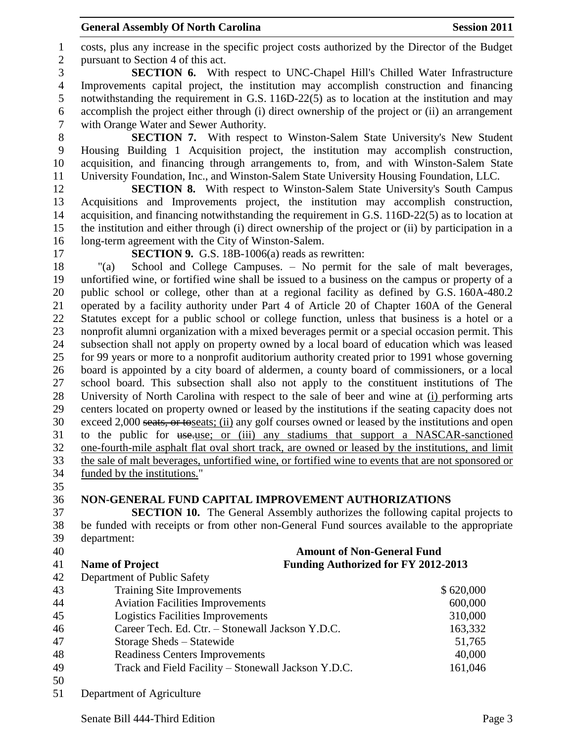#### General Assembly Of North Carolina **Session 2011**

 costs, plus any increase in the specific project costs authorized by the Director of the Budget pursuant to Section 4 of this act.

 **SECTION 6.** With respect to UNC-Chapel Hill's Chilled Water Infrastructure Improvements capital project, the institution may accomplish construction and financing notwithstanding the requirement in G.S. 116D-22(5) as to location at the institution and may accomplish the project either through (i) direct ownership of the project or (ii) an arrangement with Orange Water and Sewer Authority.

 **SECTION 7.** With respect to Winston-Salem State University's New Student Housing Building 1 Acquisition project, the institution may accomplish construction, acquisition, and financing through arrangements to, from, and with Winston-Salem State University Foundation, Inc., and Winston-Salem State University Housing Foundation, LLC.

 **SECTION 8.** With respect to Winston-Salem State University's South Campus Acquisitions and Improvements project, the institution may accomplish construction, acquisition, and financing notwithstanding the requirement in G.S. 116D-22(5) as to location at the institution and either through (i) direct ownership of the project or (ii) by participation in a long-term agreement with the City of Winston-Salem.

**SECTION 9.** G.S. 18B-1006(a) reads as rewritten:

 "(a) School and College Campuses. – No permit for the sale of malt beverages, unfortified wine, or fortified wine shall be issued to a business on the campus or property of a public school or college, other than at a regional facility as defined by G.S. 160A-480.2 operated by a facility authority under Part 4 of Article 20 of Chapter 160A of the General Statutes except for a public school or college function, unless that business is a hotel or a nonprofit alumni organization with a mixed beverages permit or a special occasion permit. This subsection shall not apply on property owned by a local board of education which was leased for 99 years or more to a nonprofit auditorium authority created prior to 1991 whose governing board is appointed by a city board of aldermen, a county board of commissioners, or a local school board. This subsection shall also not apply to the constituent institutions of The University of North Carolina with respect to the sale of beer and wine at (i) performing arts centers located on property owned or leased by the institutions if the seating capacity does not exceed 2,000 seats, or toseats; (ii) any golf courses owned or leased by the institutions and open to the public for use.use; or (iii) any stadiums that support a NASCAR-sanctioned one-fourth-mile asphalt flat oval short track, are owned or leased by the institutions, and limit the sale of malt beverages, unfortified wine, or fortified wine to events that are not sponsored or funded by the institutions."

## **NON-GENERAL FUND CAPITAL IMPROVEMENT AUTHORIZATIONS**

 **SECTION 10.** The General Assembly authorizes the following capital projects to be funded with receipts or from other non-General Fund sources available to the appropriate department:

| 40 |                                                  | <b>Amount of Non-General Fund</b>                   |           |  |
|----|--------------------------------------------------|-----------------------------------------------------|-----------|--|
| 41 | <b>Name of Project</b>                           | <b>Funding Authorized for FY 2012-2013</b>          |           |  |
| 42 | Department of Public Safety                      |                                                     |           |  |
| 43 | <b>Training Site Improvements</b>                |                                                     | \$620,000 |  |
| 44 | <b>Aviation Facilities Improvements</b>          |                                                     | 600,000   |  |
| 45 | <b>Logistics Facilities Improvements</b>         |                                                     | 310,000   |  |
| 46 | Career Tech. Ed. Ctr. - Stonewall Jackson Y.D.C. |                                                     | 163,332   |  |
| 47 | Storage Sheds – Statewide                        |                                                     | 51,765    |  |
| 48 | <b>Readiness Centers Improvements</b>            |                                                     | 40,000    |  |
| 49 |                                                  | Track and Field Facility – Stonewall Jackson Y.D.C. | 161,046   |  |
| 50 |                                                  |                                                     |           |  |
|    |                                                  |                                                     |           |  |

Department of Agriculture

Senate Bill 444-Third Edition **Page 3** and the senate Bill 444-Third Edition